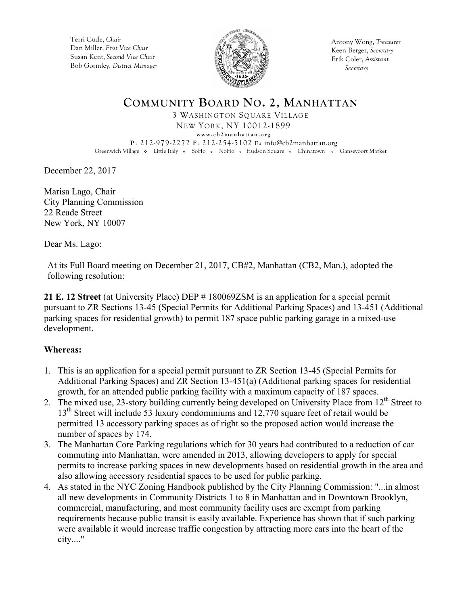Terri Cude, *Chair* Dan Miller, *First Vice Chair* Susan Kent, *Second Vice Chair* Bob Gormley, *District Manager*



Antony Wong, *Treasurer* Keen Berger, *Secretary* Erik Coler, *Assistant Secretary*

# **COMMUNITY BOARD NO. 2, MANHATTAN**

3 WASHINGTON SQUARE VILLAGE NEW YORK, NY 10012-1899 **www.cb2manhattan.org**

**P**: 212-979-2272 **F**: 212-254-5102 **E:** info@cb2manhattan.org Greenwich Village • Little Italy • SoHo • NoHo • Hudson Square • Chinatown • Gansevoort Market

December 22, 2017

Marisa Lago, Chair City Planning Commission 22 Reade Street New York, NY 10007

Dear Ms. Lago:

At its Full Board meeting on December 21, 2017, CB#2, Manhattan (CB2, Man.), adopted the following resolution:

**21 E. 12 Street** (at University Place) DEP # 180069ZSM is an application for a special permit pursuant to ZR Sections 13-45 (Special Permits for Additional Parking Spaces) and 13-451 (Additional parking spaces for residential growth) to permit 187 space public parking garage in a mixed-use development.

### **Whereas:**

- 1. This is an application for a special permit pursuant to ZR Section 13-45 (Special Permits for Additional Parking Spaces) and ZR Section 13-451(a) (Additional parking spaces for residential growth, for an attended public parking facility with a maximum capacity of 187 spaces.
- 2. The mixed use, 23-story building currently being developed on University Place from 12<sup>th</sup> Street to 13<sup>th</sup> Street will include 53 luxury condominiums and 12,770 square feet of retail would be permitted 13 accessory parking spaces as of right so the proposed action would increase the number of spaces by 174.
- 3. The Manhattan Core Parking regulations which for 30 years had contributed to a reduction of car commuting into Manhattan, were amended in 2013, allowing developers to apply for special permits to increase parking spaces in new developments based on residential growth in the area and also allowing accessory residential spaces to be used for public parking.
- 4. As stated in the NYC Zoning Handbook published by the City Planning Commission: "...in almost all new developments in Community Districts 1 to 8 in Manhattan and in Downtown Brooklyn, commercial, manufacturing, and most community facility uses are exempt from parking requirements because public transit is easily available. Experience has shown that if such parking were available it would increase traffic congestion by attracting more cars into the heart of the city...."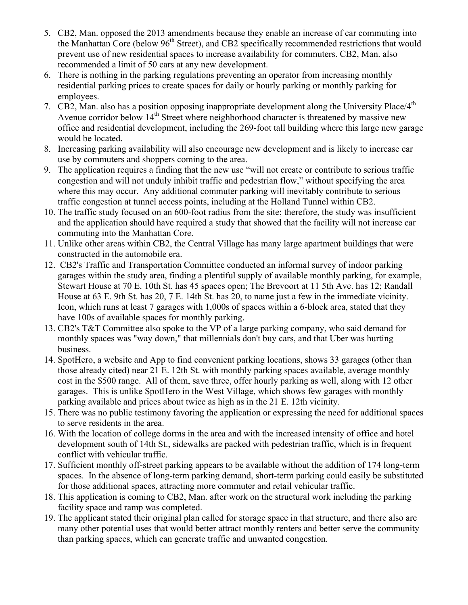- 5. CB2, Man. opposed the 2013 amendments because they enable an increase of car commuting into the Manhattan Core (below 96<sup>th</sup> Street), and CB2 specifically recommended restrictions that would prevent use of new residential spaces to increase availability for commuters. CB2, Man. also recommended a limit of 50 cars at any new development.
- 6. There is nothing in the parking regulations preventing an operator from increasing monthly residential parking prices to create spaces for daily or hourly parking or monthly parking for employees.
- 7. CB2, Man. also has a position opposing inappropriate development along the University Place/4<sup>th</sup> Avenue corridor below  $14<sup>th</sup>$  Street where neighborhood character is threatened by massive new office and residential development, including the 269-foot tall building where this large new garage would be located.
- 8. Increasing parking availability will also encourage new development and is likely to increase car use by commuters and shoppers coming to the area.
- 9. The application requires a finding that the new use "will not create or contribute to serious traffic congestion and will not unduly inhibit traffic and pedestrian flow," without specifying the area where this may occur. Any additional commuter parking will inevitably contribute to serious traffic congestion at tunnel access points, including at the Holland Tunnel within CB2.
- 10. The traffic study focused on an 600-foot radius from the site; therefore, the study was insufficient and the application should have required a study that showed that the facility will not increase car commuting into the Manhattan Core.
- 11. Unlike other areas within CB2, the Central Village has many large apartment buildings that were constructed in the automobile era.
- 12. CB2's Traffic and Transportation Committee conducted an informal survey of indoor parking garages within the study area, finding a plentiful supply of available monthly parking, for example, Stewart House at 70 E. 10th St. has 45 spaces open; The Brevoort at 11 5th Ave. has 12; Randall House at 63 E. 9th St. has 20, 7 E. 14th St. has 20, to name just a few in the immediate vicinity. Icon, which runs at least 7 garages with 1,000s of spaces within a 6-block area, stated that they have 100s of available spaces for monthly parking.
- 13. CB2's T&T Committee also spoke to the VP of a large parking company, who said demand for monthly spaces was "way down," that millennials don't buy cars, and that Uber was hurting business.
- 14. SpotHero, a website and App to find convenient parking locations, shows 33 garages (other than those already cited) near 21 E. 12th St. with monthly parking spaces available, average monthly cost in the \$500 range. All of them, save three, offer hourly parking as well, along with 12 other garages. This is unlike SpotHero in the West Village, which shows few garages with monthly parking available and prices about twice as high as in the 21 E. 12th vicinity.
- 15. There was no public testimony favoring the application or expressing the need for additional spaces to serve residents in the area.
- 16. With the location of college dorms in the area and with the increased intensity of office and hotel development south of 14th St., sidewalks are packed with pedestrian traffic, which is in frequent conflict with vehicular traffic.
- 17. Sufficient monthly off-street parking appears to be available without the addition of 174 long-term spaces. In the absence of long-term parking demand, short-term parking could easily be substituted for those additional spaces, attracting more commuter and retail vehicular traffic.
- 18. This application is coming to CB2, Man. after work on the structural work including the parking facility space and ramp was completed.
- 19. The applicant stated their original plan called for storage space in that structure, and there also are many other potential uses that would better attract monthly renters and better serve the community than parking spaces, which can generate traffic and unwanted congestion.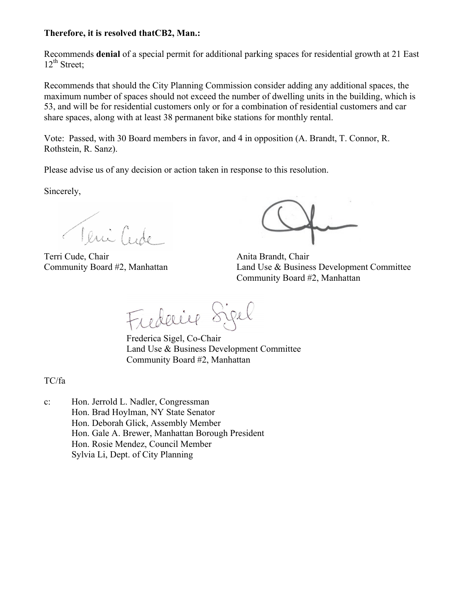#### **Therefore, it is resolved thatCB2, Man.:**

Recommends **denial** of a special permit for additional parking spaces for residential growth at 21 East  $12^{th}$  Street;

Recommends that should the City Planning Commission consider adding any additional spaces, the maximum number of spaces should not exceed the number of dwelling units in the building, which is 53, and will be for residential customers only or for a combination of residential customers and car share spaces, along with at least 38 permanent bike stations for monthly rental.

Vote: Passed, with 30 Board members in favor, and 4 in opposition (A. Brandt, T. Connor, R. Rothstein, R. Sanz).

Please advise us of any decision or action taken in response to this resolution.

Sincerely,

Tenifide

Terri Cude, Chair **Anita Brandt**, Chair **Anita Brandt**, Chair

Community Board #2, Manhattan Land Use & Business Development Committee Community Board #2, Manhattan

Frederice Sigel

Frederica Sigel, Co-Chair Land Use & Business Development Committee Community Board #2, Manhattan

TC/fa

c: Hon. Jerrold L. Nadler, Congressman Hon. Brad Hoylman, NY State Senator Hon. Deborah Glick, Assembly Member Hon. Gale A. Brewer, Manhattan Borough President Hon. Rosie Mendez, Council Member Sylvia Li, Dept. of City Planning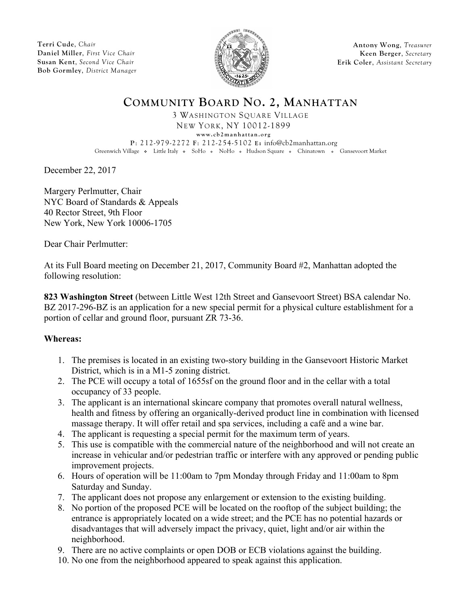**Terri Cude**, *Chair* **Daniel Miller**, *First Vice Chair* **Susan Kent**, *Second Vice Chair* **Bob Gormley**, *District Manager*



**Antony Wong**, *Treasurer* **Keen Berger**, *Secretary* **Erik Coler**, *Assistant Secretary*

## **COMMUNITY BOARD NO. 2, MANHATTAN**

3 WASHINGTON SQUARE VILLAGE NEW YORK, NY 10012-1899 **www.cb2manhattan.org**

**P**: 212-979-2272 **F**: 212-254-5102 **E:** info@cb2manhattan.org Greenwich Village • Little Italy • SoHo • NoHo • Hudson Square • Chinatown • Gansevoort Market

December 22, 2017

Margery Perlmutter, Chair NYC Board of Standards & Appeals 40 Rector Street, 9th Floor New York, New York 10006-1705

Dear Chair Perlmutter:

At its Full Board meeting on December 21, 2017, Community Board #2, Manhattan adopted the following resolution:

**823 Washington Street** (between Little West 12th Street and Gansevoort Street) BSA calendar No. BZ 2017-296-BZ is an application for a new special permit for a physical culture establishment for a portion of cellar and ground floor, pursuant ZR 73-36.

### **Whereas:**

- 1. The premises is located in an existing two-story building in the Gansevoort Historic Market District, which is in a M1-5 zoning district.
- 2. The PCE will occupy a total of 1655sf on the ground floor and in the cellar with a total occupancy of 33 people.
- 3. The applicant is an international skincare company that promotes overall natural wellness, health and fitness by offering an organically-derived product line in combination with licensed massage therapy. It will offer retail and spa services, including a café and a wine bar.
- 4. The applicant is requesting a special permit for the maximum term of years.
- 5. This use is compatible with the commercial nature of the neighborhood and will not create an increase in vehicular and/or pedestrian traffic or interfere with any approved or pending public improvement projects.
- 6. Hours of operation will be 11:00am to 7pm Monday through Friday and 11:00am to 8pm Saturday and Sunday.
- 7. The applicant does not propose any enlargement or extension to the existing building.
- 8. No portion of the proposed PCE will be located on the rooftop of the subject building; the entrance is appropriately located on a wide street; and the PCE has no potential hazards or disadvantages that will adversely impact the privacy, quiet, light and/or air within the neighborhood.
- 9. There are no active complaints or open DOB or ECB violations against the building.
- 10. No one from the neighborhood appeared to speak against this application.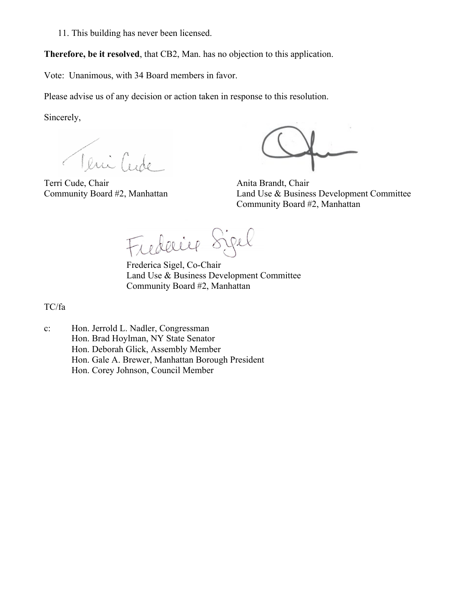11. This building has never been licensed.

**Therefore, be it resolved**, that CB2, Man. has no objection to this application.

Vote: Unanimous, with 34 Board members in favor.

Please advise us of any decision or action taken in response to this resolution.

Sincerely,

Teni Cude

Terri Cude, Chair **Anita Brandt**, Chair **Anita Brandt**, Chair

Community Board #2, Manhattan Land Use & Business Development Committee Community Board #2, Manhattan

Frederice Sigel

Frederica Sigel, Co-Chair Land Use & Business Development Committee Community Board #2, Manhattan

TC/fa

c: Hon. Jerrold L. Nadler, Congressman Hon. Brad Hoylman, NY State Senator Hon. Deborah Glick, Assembly Member Hon. Gale A. Brewer, Manhattan Borough President Hon. Corey Johnson, Council Member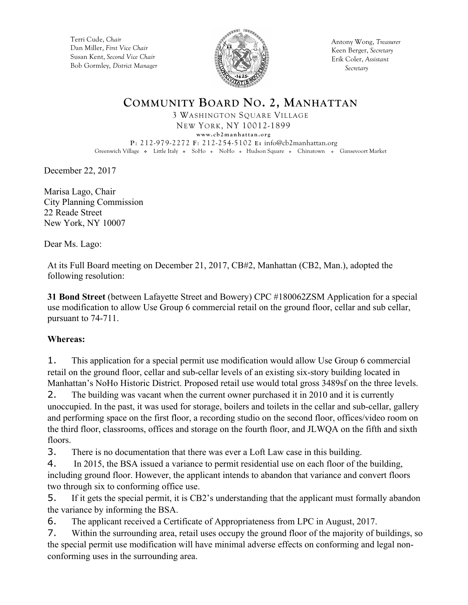Terri Cude, *Chair* Dan Miller, *First Vice Chair* Susan Kent, *Second Vice Chair* Bob Gormley, *District Manager*



Antony Wong, *Treasurer* Keen Berger, *Secretary* Erik Coler, *Assistant Secretary*

### **COMMUNITY BOARD NO. 2, MANHATTAN** 3 WASHINGTON SQUARE VILLAGE

NEW YORK, NY 10012-1899 **www.cb2manhattan.org**

**P**: 212-979-2272 **F**: 212-254-5102 **E:** info@cb2manhattan.org Greenwich Village • Little Italy • SoHo • NoHo • Hudson Square • Chinatown • Gansevoort Market

December 22, 2017

Marisa Lago, Chair City Planning Commission 22 Reade Street New York, NY 10007

Dear Ms. Lago:

At its Full Board meeting on December 21, 2017, CB#2, Manhattan (CB2, Man.), adopted the following resolution:

**31 Bond Street** (between Lafayette Street and Bowery) CPC #180062ZSM Application for a special use modification to allow Use Group 6 commercial retail on the ground floor, cellar and sub cellar, pursuant to 74-711.

### **Whereas:**

1. This application for a special permit use modification would allow Use Group 6 commercial retail on the ground floor, cellar and sub-cellar levels of an existing six-story building located in Manhattan's NoHo Historic District. Proposed retail use would total gross 3489sf on the three levels.

2. The building was vacant when the current owner purchased it in 2010 and it is currently unoccupied. In the past, it was used for storage, boilers and toilets in the cellar and sub-cellar, gallery and performing space on the first floor, a recording studio on the second floor, offices/video room on the third floor, classrooms, offices and storage on the fourth floor, and JLWQA on the fifth and sixth floors.

3. There is no documentation that there was ever a Loft Law case in this building.

4. In 2015, the BSA issued a variance to permit residential use on each floor of the building, including ground floor. However, the applicant intends to abandon that variance and convert floors two through six to conforming office use.

5. If it gets the special permit, it is CB2's understanding that the applicant must formally abandon the variance by informing the BSA.

6. The applicant received a Certificate of Appropriateness from LPC in August, 2017.

7. Within the surrounding area, retail uses occupy the ground floor of the majority of buildings, so the special permit use modification will have minimal adverse effects on conforming and legal nonconforming uses in the surrounding area.